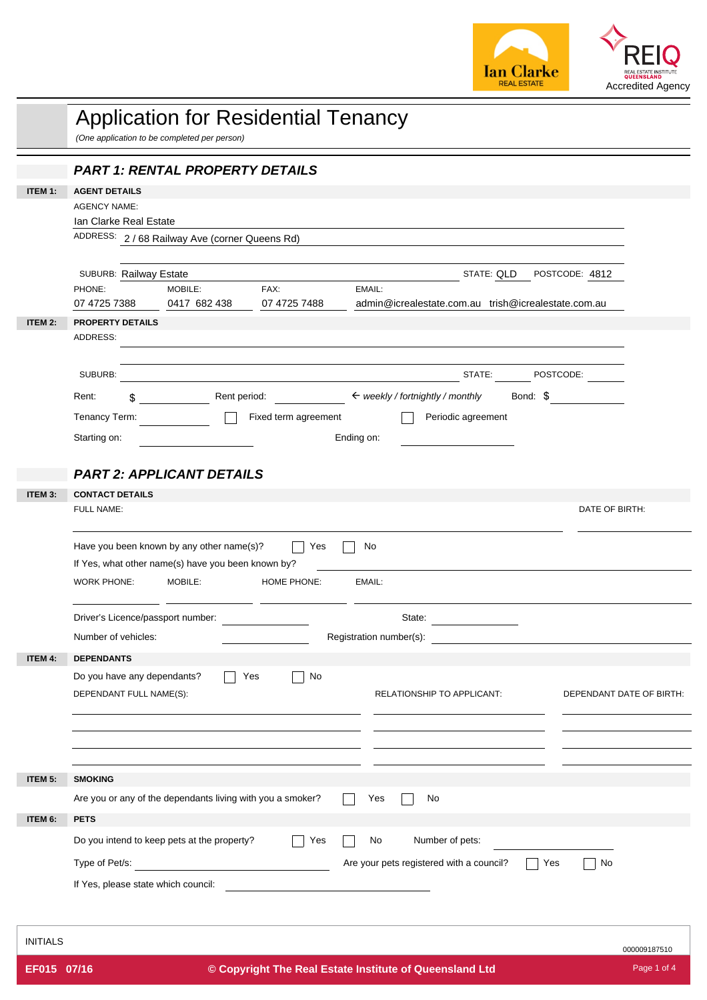

|                 | <b>Application for Residential Tenancy</b><br>(One application to be completed per person)                            |
|-----------------|-----------------------------------------------------------------------------------------------------------------------|
|                 | <b>PART 1: RENTAL PROPERTY DETAILS</b>                                                                                |
| <b>ITEM 1:</b>  | <b>AGENT DETAILS</b>                                                                                                  |
|                 | <b>AGENCY NAME:</b>                                                                                                   |
|                 | Ian Clarke Real Estate                                                                                                |
|                 | ADDRESS: 2 / 68 Railway Ave (corner Queens Rd)                                                                        |
|                 | STATE: QLD POSTCODE: 4812<br>SUBURB: Railway Estate                                                                   |
|                 | EMAIL:<br>PHONE:<br>MOBILE:<br>FAX:                                                                                   |
|                 | 0417 682 438<br>07 4725 7488<br>admin@icrealestate.com.au trish@icrealestate.com.au<br>07 4725 7388                   |
| ITEM 2:         | PROPERTY DETAILS<br>ADDRESS:                                                                                          |
|                 |                                                                                                                       |
|                 | STATE: POSTCODE:<br>SUBURB:                                                                                           |
|                 | Rent period: $\leftarrow$ weekly / fortnightly / monthly Bond: $\frac{1}{2}$<br>Rent:<br>$\sim$                       |
|                 | Periodic agreement<br>Tenancy Term:<br>Fixed term agreement                                                           |
|                 | Ending on:<br>Starting on:                                                                                            |
|                 |                                                                                                                       |
|                 | <b>PART 2: APPLICANT DETAILS</b>                                                                                      |
| ITEM 3:         | <b>CONTACT DETAILS</b><br>FULL NAME:<br>DATE OF BIRTH:                                                                |
|                 |                                                                                                                       |
|                 | Have you been known by any other name(s)?<br>Yes<br>No                                                                |
|                 | If Yes, what other name(s) have you been known by?                                                                    |
|                 | MOBILE:<br>HOME PHONE:<br>WORK PHONE:<br>EMAIL:                                                                       |
|                 | Driver's Licence/passport number:<br>State:                                                                           |
|                 | Number of vehicles:<br>Registration number(s):                                                                        |
| ITEM 4:         | <b>DEPENDANTS</b>                                                                                                     |
|                 | Do you have any dependants?<br>No<br>Yes                                                                              |
|                 | DEPENDANT FULL NAME(S):<br>RELATIONSHIP TO APPLICANT:<br>DEPENDANT DATE OF BIRTH:                                     |
|                 |                                                                                                                       |
|                 |                                                                                                                       |
|                 |                                                                                                                       |
| ITEM 5:         | <b>SMOKING</b>                                                                                                        |
|                 | Are you or any of the dependants living with you a smoker?<br>Yes<br>No                                               |
| ITEM 6:         | <b>PETS</b>                                                                                                           |
|                 | Do you intend to keep pets at the property?<br>Number of pets:<br>Yes<br>No                                           |
|                 | Are your pets registered with a council?<br>Type of Pet/s:<br>No<br>Yes<br><u> 1980 - Jan Barbara Barbara, maskin</u> |
|                 | If Yes, please state which council:                                                                                   |
|                 |                                                                                                                       |
| <b>INITIALS</b> |                                                                                                                       |
|                 | 000009187510                                                                                                          |
| EF015 07/16     | Page 1 of 4<br>© Copyright The Real Estate Institute of Queensland Ltd                                                |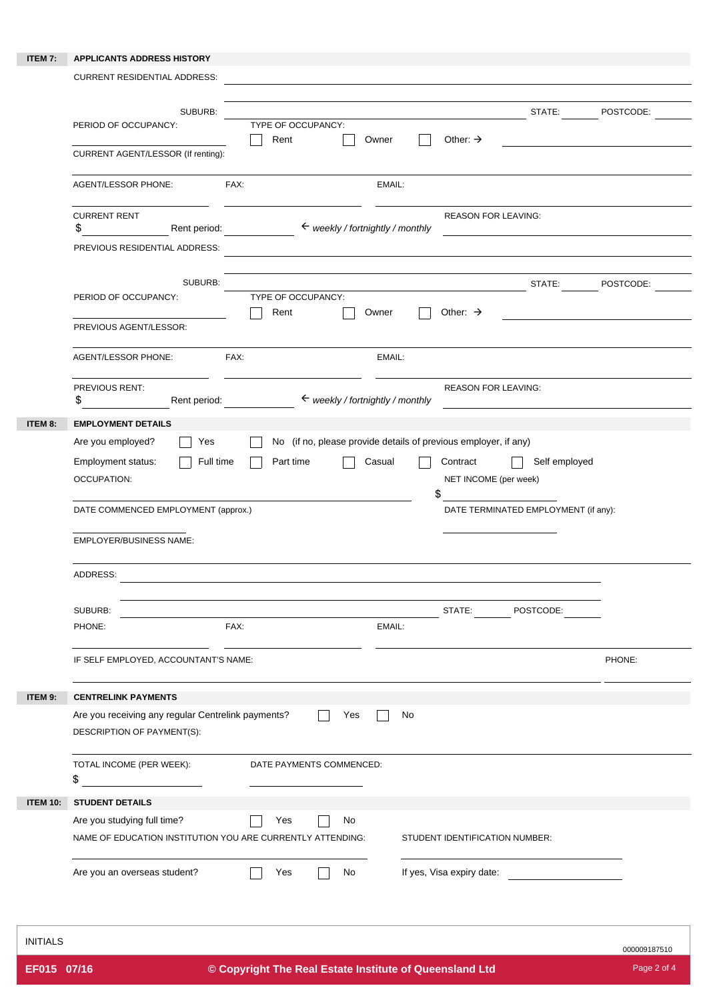## **ITEM 7: APPLICANTS ADDRESS HISTORY**

|                            | <b>CURRENT RESIDENTIAL ADDRESS:</b>                                                                                      |                            |                                                                 |        |                                         |                                                       |           |
|----------------------------|--------------------------------------------------------------------------------------------------------------------------|----------------------------|-----------------------------------------------------------------|--------|-----------------------------------------|-------------------------------------------------------|-----------|
|                            | SUBURB:<br>PERIOD OF OCCUPANCY:                                                                                          | TYPE OF OCCUPANCY:<br>Rent |                                                                 | Owner  | Other: $\rightarrow$                    | STATE:                                                | POSTCODE: |
|                            | CURRENT AGENT/LESSOR (If renting):                                                                                       |                            |                                                                 |        |                                         |                                                       |           |
|                            | <b>AGENT/LESSOR PHONE:</b>                                                                                               | FAX:                       |                                                                 | EMAIL: |                                         |                                                       |           |
|                            | <b>CURRENT RENT</b><br>\$<br>Rent period:                                                                                |                            | $\leftarrow$ weekly / fortnightly / monthly                     |        | <b>REASON FOR LEAVING:</b>              |                                                       |           |
|                            | PREVIOUS RESIDENTIAL ADDRESS:                                                                                            |                            |                                                                 |        |                                         |                                                       |           |
|                            | SUBURB:<br>PERIOD OF OCCUPANCY:                                                                                          | TYPE OF OCCUPANCY:<br>Rent |                                                                 | Owner  | Other: $\rightarrow$                    | STATE:                                                | POSTCODE: |
|                            | PREVIOUS AGENT/LESSOR:                                                                                                   |                            |                                                                 |        |                                         |                                                       |           |
|                            | <b>AGENT/LESSOR PHONE:</b>                                                                                               | FAX:                       |                                                                 | EMAIL: |                                         |                                                       |           |
|                            | PREVIOUS RENT:<br>Rent period:<br>\$                                                                                     |                            | $\leftarrow$ weekly / fortnightly / monthly                     |        | <b>REASON FOR LEAVING:</b>              |                                                       |           |
|                            | Are you employed?<br>Yes<br>Employment status:<br>Full time<br><b>OCCUPATION:</b><br>DATE COMMENCED EMPLOYMENT (approx.) | Part time                  | No (if no, please provide details of previous employer, if any) | Casual | Contract<br>NET INCOME (per week)<br>\$ | Self employed<br>DATE TERMINATED EMPLOYMENT (if any): |           |
|                            | <b>EMPLOYER/BUSINESS NAME:</b><br>ADDRESS:<br>SUBURB:<br>PHONE:<br>IF SELF EMPLOYED, ACCOUNTANT'S NAME:                  | FAX:                       |                                                                 | EMAIL: |                                         | STATE: POSTCODE:                                      | PHONE:    |
|                            |                                                                                                                          |                            |                                                                 |        |                                         |                                                       |           |
|                            | <b>CENTRELINK PAYMENTS</b><br>Are you receiving any regular Centrelink payments?<br>DESCRIPTION OF PAYMENT(S):           |                            | Yes                                                             | No     |                                         |                                                       |           |
|                            | TOTAL INCOME (PER WEEK):<br>\$<br><u> 1980 - John Stein, amerikansk politiker</u>                                        |                            | DATE PAYMENTS COMMENCED:                                        |        |                                         |                                                       |           |
| ITEM 9:<br><b>ITEM 10:</b> | <b>STUDENT DETAILS</b>                                                                                                   |                            |                                                                 |        |                                         |                                                       |           |
|                            | Are you studying full time?                                                                                              | Yes                        | No                                                              |        |                                         |                                                       |           |
|                            | NAME OF EDUCATION INSTITUTION YOU ARE CURRENTLY ATTENDING:                                                               |                            |                                                                 |        | STUDENT IDENTIFICATION NUMBER:          |                                                       |           |

INITIALS

000009187510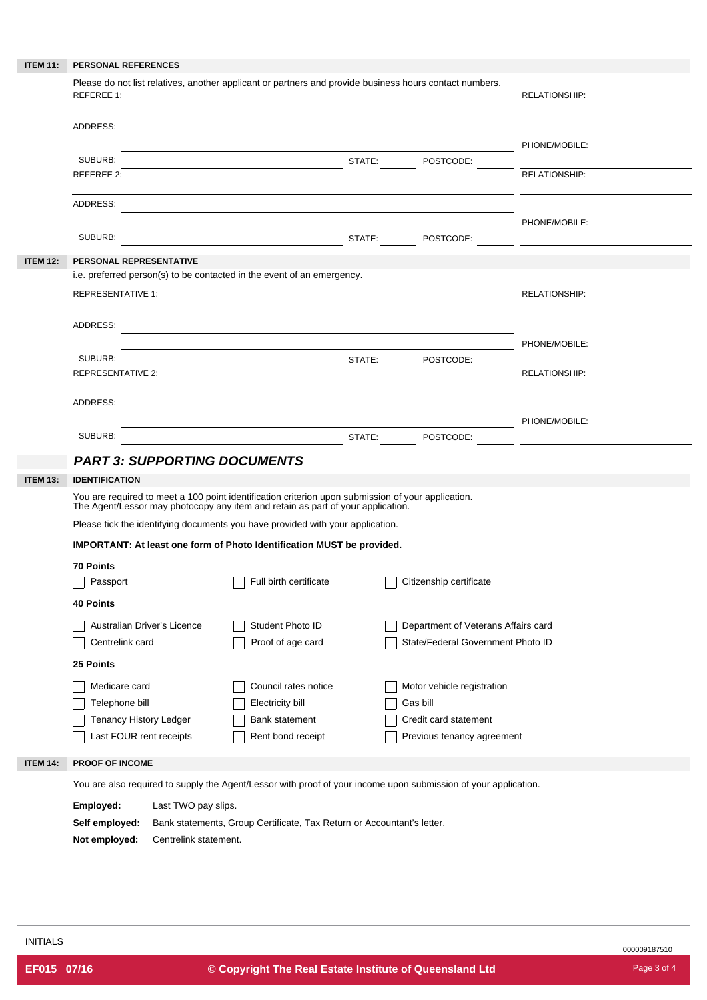| <b>ITEM 11:</b> | PERSONAL REFERENCES                                                                                                                                                                   |                                                                          |                      |
|-----------------|---------------------------------------------------------------------------------------------------------------------------------------------------------------------------------------|--------------------------------------------------------------------------|----------------------|
|                 | Please do not list relatives, another applicant or partners and provide business hours contact numbers.<br><b>REFEREE 1:</b>                                                          |                                                                          | <b>RELATIONSHIP:</b> |
|                 | ADDRESS:                                                                                                                                                                              |                                                                          | PHONE/MOBILE:        |
|                 | <b>STATE:</b> POSTCODE:<br>SUBURB:<br>REFEREE 2:                                                                                                                                      |                                                                          | RELATIONSHIP:        |
|                 | ADDRESS:                                                                                                                                                                              |                                                                          |                      |
|                 | SUBURB:                                                                                                                                                                               |                                                                          |                      |
| <b>ITEM 12:</b> | PERSONAL REPRESENTATIVE                                                                                                                                                               |                                                                          |                      |
|                 | i.e. preferred person(s) to be contacted in the event of an emergency.                                                                                                                |                                                                          |                      |
|                 | <b>REPRESENTATIVE 1:</b>                                                                                                                                                              |                                                                          | <b>RELATIONSHIP:</b> |
|                 | ADDRESS:                                                                                                                                                                              |                                                                          | PHONE/MOBILE:        |
|                 | SUBURB:                                                                                                                                                                               |                                                                          |                      |
|                 | <b>REPRESENTATIVE 2:</b>                                                                                                                                                              |                                                                          | <b>RELATIONSHIP:</b> |
|                 | ADDRESS:<br><u> 1989 - Johann Stoff, deutscher Stoffen und der Stoffen und der Stoffen und der Stoffen und der Stoffen und der</u>                                                    | PHONE/MOBILE:                                                            |                      |
|                 | SUBURB:                                                                                                                                                                               | STATE: POSTCODE:                                                         |                      |
|                 | <b>PART 3: SUPPORTING DOCUMENTS</b>                                                                                                                                                   |                                                                          |                      |
| <b>ITEM 13:</b> | <b>IDENTIFICATION</b>                                                                                                                                                                 |                                                                          |                      |
|                 | You are required to meet a 100 point identification criterion upon submission of your application.<br>The Agent/Lessor may photocopy any item and retain as part of your application. |                                                                          |                      |
|                 | Please tick the identifying documents you have provided with your application.                                                                                                        |                                                                          |                      |
|                 | IMPORTANT: At least one form of Photo Identification MUST be provided.                                                                                                                |                                                                          |                      |
|                 | 70 Points                                                                                                                                                                             |                                                                          |                      |
|                 | Full birth certificate<br>Passport                                                                                                                                                    | Citizenship certificate                                                  |                      |
|                 | <b>40 Points</b>                                                                                                                                                                      |                                                                          |                      |
|                 | Australian Driver's Licence<br>Student Photo ID<br>Centrelink card<br>Proof of age card                                                                                               | Department of Veterans Affairs card<br>State/Federal Government Photo ID |                      |
|                 | 25 Points                                                                                                                                                                             |                                                                          |                      |
|                 | Medicare card<br>Council rates notice                                                                                                                                                 | Motor vehicle registration                                               |                      |
|                 | Telephone bill<br><b>Electricity bill</b>                                                                                                                                             | Gas bill                                                                 |                      |
|                 | <b>Tenancy History Ledger</b><br><b>Bank statement</b>                                                                                                                                | Credit card statement                                                    |                      |
|                 | Last FOUR rent receipts<br>Rent bond receipt                                                                                                                                          | Previous tenancy agreement                                               |                      |
| <b>ITEM 14:</b> | PROOF OF INCOME                                                                                                                                                                       |                                                                          |                      |
|                 | You are also required to supply the Agent/Lessor with proof of your income upon submission of your application.                                                                       |                                                                          |                      |
|                 | Employed:<br>Last TWO pay slips.                                                                                                                                                      |                                                                          |                      |
|                 | Self employed:<br>Bank statements, Group Certificate, Tax Return or Accountant's letter.                                                                                              |                                                                          |                      |
|                 | Not employed:<br>Centrelink statement.                                                                                                                                                |                                                                          |                      |

000009187510